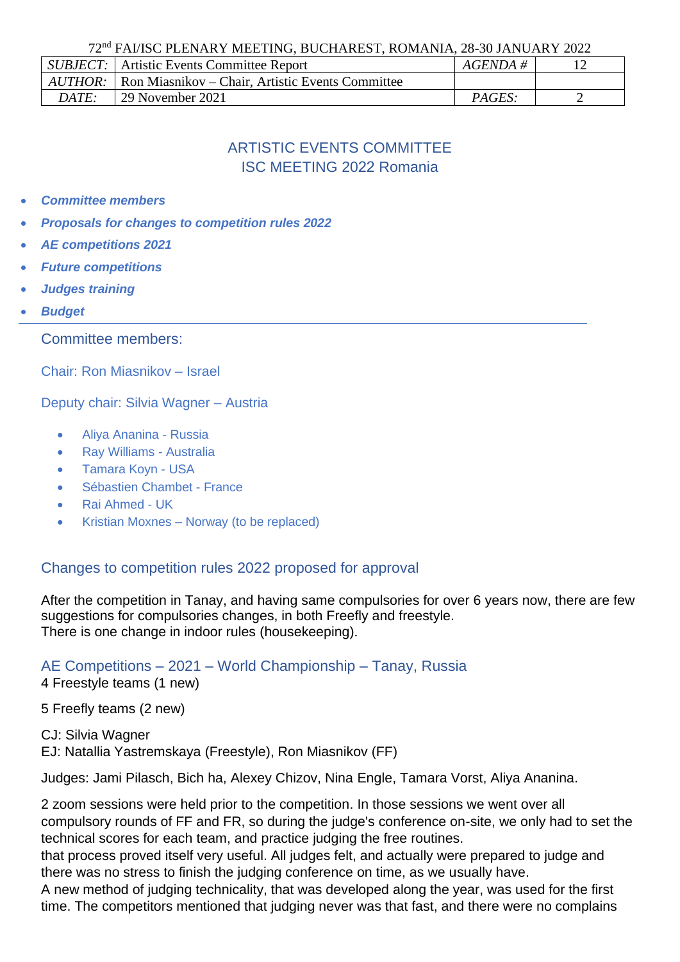72nd FAI/ISC PLENARY MEETING, BUCHAREST, ROMANIA, 28-30 JANUARY 2022

|              | <i>SUBJECT:</i> Artistic Events Committee Report                  | $AGENDA \#$ |  |
|--------------|-------------------------------------------------------------------|-------------|--|
|              | <i>AUTHOR:</i>   Ron Miasnikov – Chair, Artistic Events Committee |             |  |
| <i>DATE:</i> | <sup>1</sup> 29 November 2021                                     | PAGES:      |  |

# ARTISTIC EVENTS COMMITTEE ISC MEETING 2022 Romania

- *Committee members*
- *Proposals for changes to competition rules 2022*
- *AE competitions 2021*
- *Future competitions*
- *Judges training*
- *Budget*

Committee members:

Chair: Ron Miasnikov – Israel

Deputy chair: Silvia Wagner – Austria

- Aliya Ananina Russia
- Ray Williams Australia
- Tamara Koyn USA
- Sébastien Chambet France
- Rai Ahmed UK
- Kristian Moxnes Norway (to be replaced)

#### Changes to competition rules 2022 proposed for approval

After the competition in Tanay, and having same compulsories for over 6 years now, there are few suggestions for compulsories changes, in both Freefly and freestyle. There is one change in indoor rules (housekeeping).

AE Competitions – 2021 – World Championship – Tanay, Russia

4 Freestyle teams (1 new)

5 Freefly teams (2 new)

CJ: Silvia Wagner EJ: Natallia Yastremskaya (Freestyle), Ron Miasnikov (FF)

Judges: Jami Pilasch, Bich ha, Alexey Chizov, Nina Engle, Tamara Vorst, Aliya Ananina.

2 zoom sessions were held prior to the competition. In those sessions we went over all compulsory rounds of FF and FR, so during the judge's conference on-site, we only had to set the technical scores for each team, and practice judging the free routines.

that process proved itself very useful. All judges felt, and actually were prepared to judge and there was no stress to finish the judging conference on time, as we usually have.

A new method of judging technicality, that was developed along the year, was used for the first time. The competitors mentioned that judging never was that fast, and there were no complains